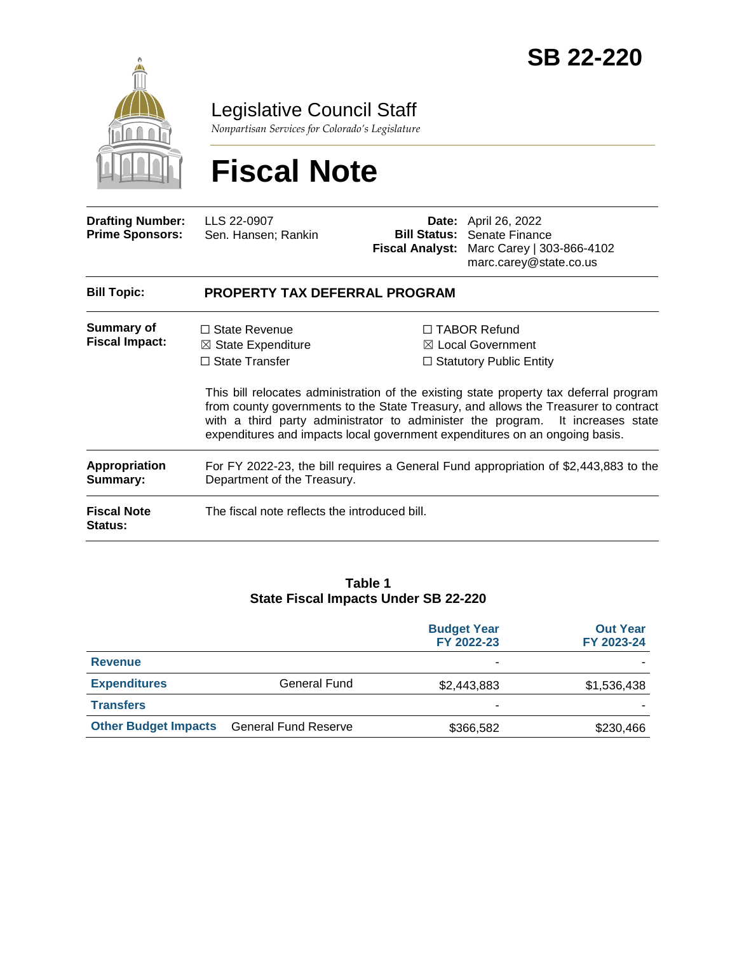

Legislative Council Staff

*Nonpartisan Services for Colorado's Legislature*

# **Fiscal Note**

| <b>Drafting Number:</b><br><b>Prime Sponsors:</b> | LLS 22-0907<br>Sen. Hansen; Rankin                                                                                                                                                                                                                                                                                                             |  | <b>Date:</b> April 26, 2022<br><b>Bill Status: Senate Finance</b><br>Fiscal Analyst: Marc Carey   303-866-4102<br>marc.carey@state.co.us |  |  |
|---------------------------------------------------|------------------------------------------------------------------------------------------------------------------------------------------------------------------------------------------------------------------------------------------------------------------------------------------------------------------------------------------------|--|------------------------------------------------------------------------------------------------------------------------------------------|--|--|
| <b>Bill Topic:</b>                                | <b>PROPERTY TAX DEFERRAL PROGRAM</b>                                                                                                                                                                                                                                                                                                           |  |                                                                                                                                          |  |  |
| Summary of<br><b>Fiscal Impact:</b>               | $\Box$ State Revenue<br>$\boxtimes$ State Expenditure<br>$\Box$ State Transfer                                                                                                                                                                                                                                                                 |  | $\Box$ TABOR Refund<br>$\boxtimes$ Local Government<br>$\Box$ Statutory Public Entity                                                    |  |  |
|                                                   | This bill relocates administration of the existing state property tax deferral program<br>from county governments to the State Treasury, and allows the Treasurer to contract<br>with a third party administrator to administer the program. It increases state<br>expenditures and impacts local government expenditures on an ongoing basis. |  |                                                                                                                                          |  |  |
| <b>Appropriation</b><br>Summary:                  | For FY 2022-23, the bill requires a General Fund appropriation of \$2,443,883 to the<br>Department of the Treasury.                                                                                                                                                                                                                            |  |                                                                                                                                          |  |  |
| <b>Fiscal Note</b><br><b>Status:</b>              | The fiscal note reflects the introduced bill.                                                                                                                                                                                                                                                                                                  |  |                                                                                                                                          |  |  |

#### **Table 1 State Fiscal Impacts Under SB 22-220**

|                             |                             | <b>Budget Year</b><br>FY 2022-23 | <b>Out Year</b><br>FY 2023-24 |
|-----------------------------|-----------------------------|----------------------------------|-------------------------------|
| <b>Revenue</b>              |                             | ۰                                |                               |
| <b>Expenditures</b>         | General Fund                | \$2,443,883                      | \$1,536,438                   |
| <b>Transfers</b>            |                             | ۰                                |                               |
| <b>Other Budget Impacts</b> | <b>General Fund Reserve</b> | \$366,582                        | \$230,466                     |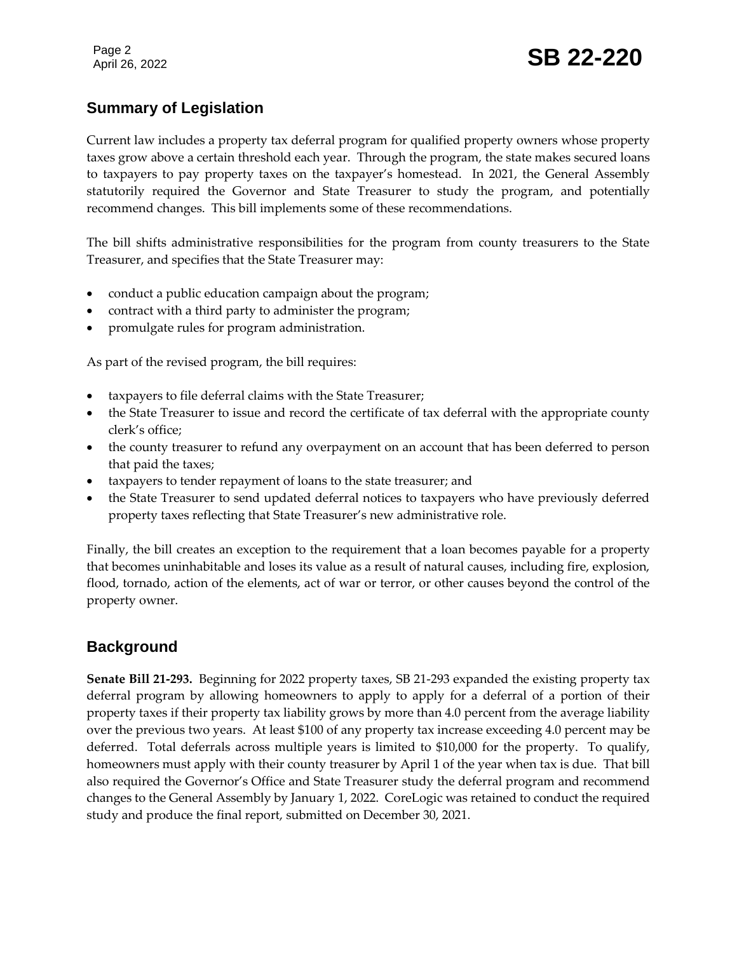# **Summary of Legislation**

Current law includes a property tax deferral program for qualified property owners whose property taxes grow above a certain threshold each year. Through the program, the state makes secured loans to taxpayers to pay property taxes on the taxpayer's homestead. In 2021, the General Assembly statutorily required the Governor and State Treasurer to study the program, and potentially recommend changes. This bill implements some of these recommendations.

The bill shifts administrative responsibilities for the program from county treasurers to the State Treasurer, and specifies that the State Treasurer may:

- conduct a public education campaign about the program;
- contract with a third party to administer the program;
- promulgate rules for program administration.

As part of the revised program, the bill requires:

- taxpayers to file deferral claims with the State Treasurer;
- the State Treasurer to issue and record the certificate of tax deferral with the appropriate county clerk's office;
- the county treasurer to refund any overpayment on an account that has been deferred to person that paid the taxes;
- taxpayers to tender repayment of loans to the state treasurer; and
- the State Treasurer to send updated deferral notices to taxpayers who have previously deferred property taxes reflecting that State Treasurer's new administrative role.

Finally, the bill creates an exception to the requirement that a loan becomes payable for a property that becomes uninhabitable and loses its value as a result of natural causes, including fire, explosion, flood, tornado, action of the elements, act of war or terror, or other causes beyond the control of the property owner.

# **Background**

**Senate Bill 21-293.** Beginning for 2022 property taxes, SB 21-293 expanded the existing property tax deferral program by allowing homeowners to apply to apply for a deferral of a portion of their property taxes if their property tax liability grows by more than 4.0 percent from the average liability over the previous two years. At least \$100 of any property tax increase exceeding 4.0 percent may be deferred. Total deferrals across multiple years is limited to \$10,000 for the property. To qualify, homeowners must apply with their county treasurer by April 1 of the year when tax is due. That bill also required the Governor's Office and State Treasurer study the deferral program and recommend changes to the General Assembly by January 1, 2022. CoreLogic was retained to conduct the required study and produce the final report, submitted on December 30, 2021.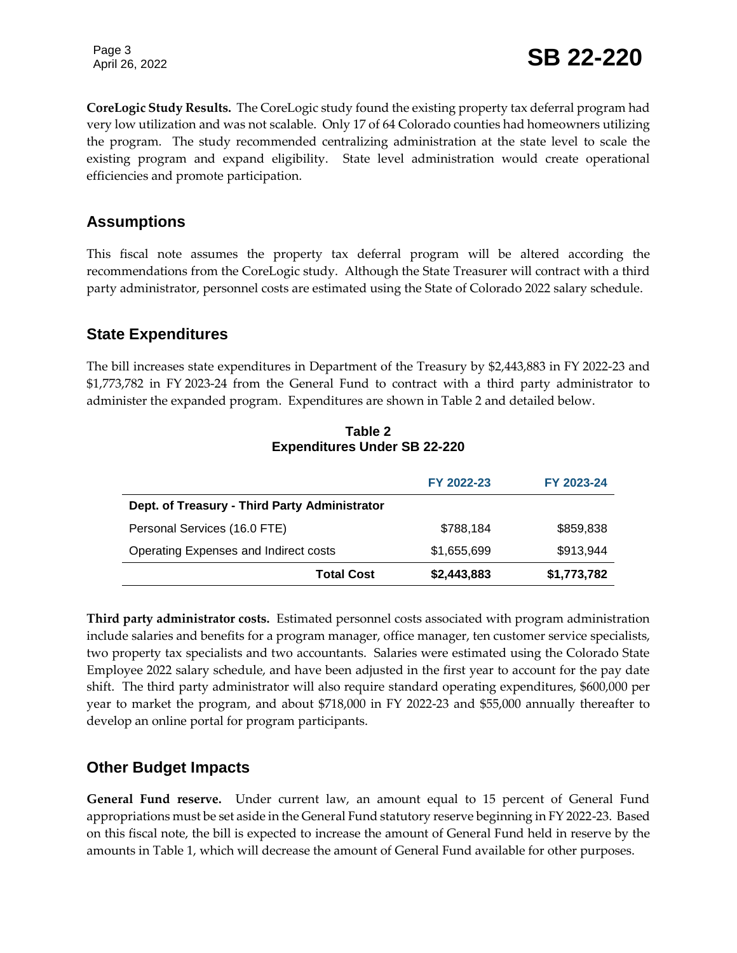**CoreLogic Study Results.** The CoreLogic study found the existing property tax deferral program had very low utilization and was not scalable. Only 17 of 64 Colorado counties had homeowners utilizing the program. The study recommended centralizing administration at the state level to scale the existing program and expand eligibility. State level administration would create operational efficiencies and promote participation.

## **Assumptions**

This fiscal note assumes the property tax deferral program will be altered according the recommendations from the CoreLogic study. Although the State Treasurer will contract with a third party administrator, personnel costs are estimated using the State of Colorado 2022 salary schedule.

### **State Expenditures**

The bill increases state expenditures in Department of the Treasury by \$2,443,883 in FY 2022-23 and \$1,773,782 in FY 2023-24 from the General Fund to contract with a third party administrator to administer the expanded program. Expenditures are shown in Table 2 and detailed below.

|                                               | FY 2022-23  | FY 2023-24  |
|-----------------------------------------------|-------------|-------------|
| Dept. of Treasury - Third Party Administrator |             |             |
| Personal Services (16.0 FTE)                  | \$788,184   | \$859,838   |
| Operating Expenses and Indirect costs         | \$1,655,699 | \$913,944   |
| <b>Total Cost</b>                             | \$2,443,883 | \$1,773,782 |

#### **Table 2 Expenditures Under SB 22-220**

**Third party administrator costs.** Estimated personnel costs associated with program administration include salaries and benefits for a program manager, office manager, ten customer service specialists, two property tax specialists and two accountants. Salaries were estimated using the Colorado State Employee 2022 salary schedule, and have been adjusted in the first year to account for the pay date shift. The third party administrator will also require standard operating expenditures, \$600,000 per year to market the program, and about \$718,000 in FY 2022-23 and \$55,000 annually thereafter to develop an online portal for program participants.

## **Other Budget Impacts**

**General Fund reserve.** Under current law, an amount equal to 15 percent of General Fund appropriations must be set aside in the General Fund statutory reserve beginning in FY 2022-23. Based on this fiscal note, the bill is expected to increase the amount of General Fund held in reserve by the amounts in Table 1, which will decrease the amount of General Fund available for other purposes.